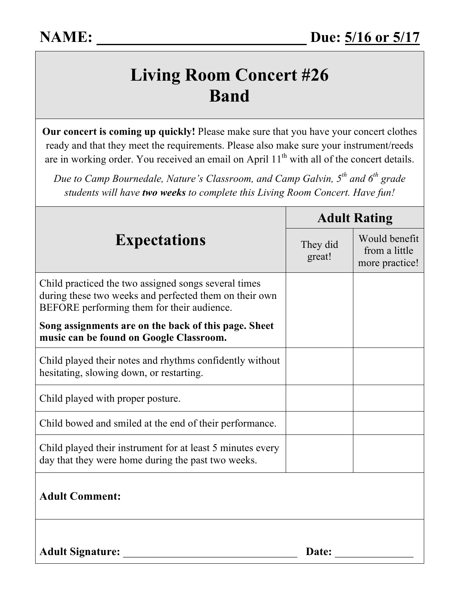## **Living Room Concert #26 Band**

**Our concert is coming up quickly!** Please make sure that you have your concert clothes ready and that they meet the requirements. Please also make sure your instrument/reeds are in working order. You received an email on April 11<sup>th</sup> with all of the concert details.

*Due to Camp Bournedale, Nature's Classroom, and Camp Galvin, 5th and 6th grade students will have two weeks to complete this Living Room Concert. Have fun!*

| <b>Expectations</b>                                                                                                                                          | <b>Adult Rating</b> |                                                  |
|--------------------------------------------------------------------------------------------------------------------------------------------------------------|---------------------|--------------------------------------------------|
|                                                                                                                                                              | They did<br>great!  | Would benefit<br>from a little<br>more practice! |
| Child practiced the two assigned songs several times<br>during these two weeks and perfected them on their own<br>BEFORE performing them for their audience. |                     |                                                  |
| Song assignments are on the back of this page. Sheet<br>music can be found on Google Classroom.                                                              |                     |                                                  |
| Child played their notes and rhythms confidently without<br>hesitating, slowing down, or restarting.                                                         |                     |                                                  |
| Child played with proper posture.                                                                                                                            |                     |                                                  |
| Child bowed and smiled at the end of their performance.                                                                                                      |                     |                                                  |
| Child played their instrument for at least 5 minutes every<br>day that they were home during the past two weeks.                                             |                     |                                                  |
| <b>Adult Comment:</b>                                                                                                                                        |                     |                                                  |
| <b>Adult Signature:</b>                                                                                                                                      | Date:               |                                                  |